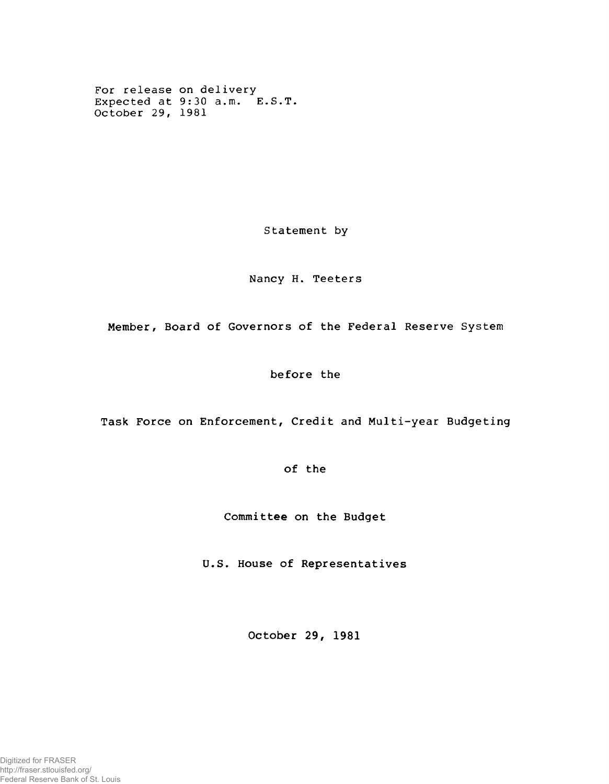For release on delivery Expected at  $9:30$  a.m.  $E.S.T.$ October 29, 1981

Statement by

Nancy H. Teeters

Member, Board of Governors of the Federal Reserve System

before the

Task Force on Enforcement, Credit and Multi-year Budgeting

of the

Committee on the Budget

U.S. House of Representatives

October 29, 1981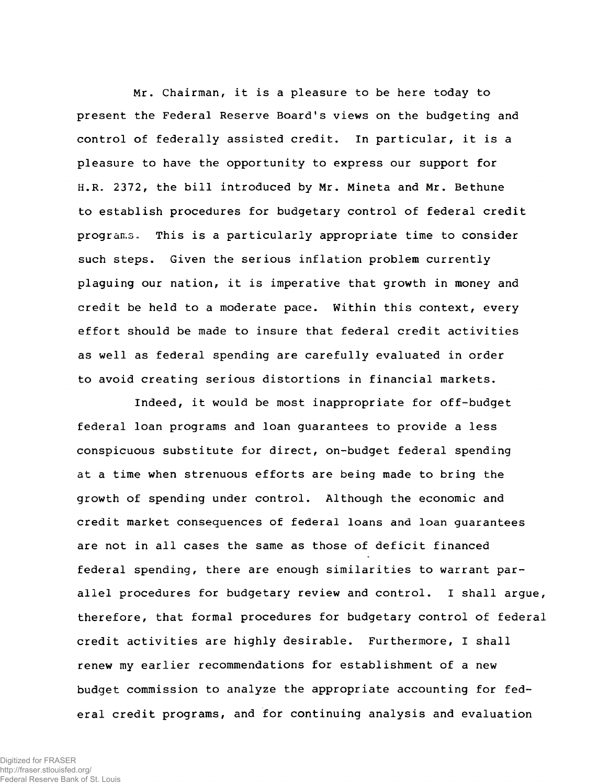Mr. Chairman, it is a pleasure to be here today to present the Federal Reserve Board's views on the budgeting and control of federally assisted credit. In particular, it is a pleasure to have the opportunity to express our support for H.R. 2372, the bill introduced by Mr. Mineta and Mr. Bethune to establish procedures for budgetary control of federal credit programs. This is a particularly appropriate time to consider such steps. Given the serious inflation problem currently plaguing our nation, it is imperative that growth in money and credit be held to a moderate pace. Within this context, every effort should be made to insure that federal credit activities as well as federal spending are carefully evaluated in order to avoid creating serious distortions in financial markets.

Indeed, it would be most inappropriate for off-budget federal loan programs and loan guarantees to provide a less conspicuous substitute for direct, on-budget federal spending at a time when strenuous efforts are being made to bring the growth of spending under control. Although the economic and credit market consequences of federal loans and loan guarantees are not in all cases the same as those of deficit financed federal spending, there are enough similarities to warrant parallel procedures for budgetary review and control. I shall argue, therefore, that formal procedures for budgetary control of federal credit activities are highly desirable. Furthermore, I shall renew my earlier recommendations for establishment of a new budget commission to analyze the appropriate accounting for federal credit programs, and for continuing analysis and evaluation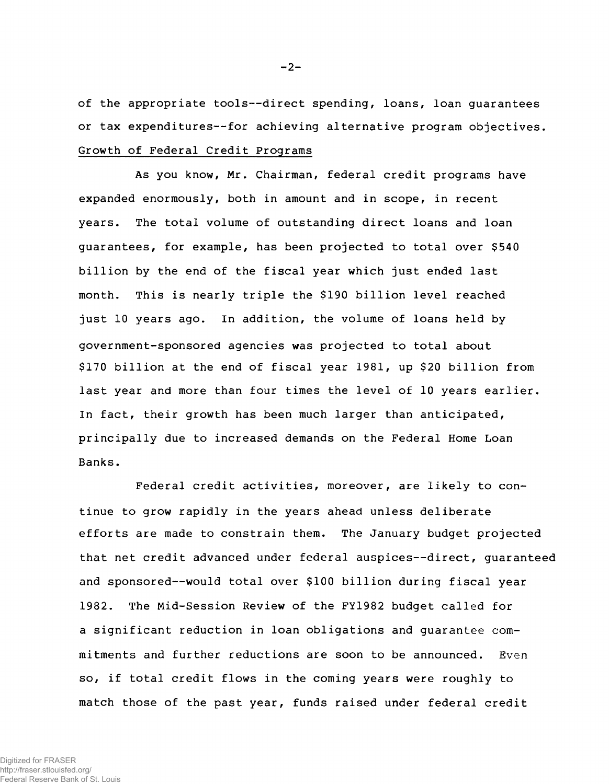of the appropriate tools--direct spending, loans, loan guarantees or tax expenditures--for achieving alternative program objectives. Growth of Federal Credit Programs

As you know, Mr. Chairman, federal credit programs have expanded enormously, both in amount and in scope, in recent years. The total volume of outstanding direct loans and loan guarantees, for example, has been projected to total over \$540 billion by the end of the fiscal year which just ended last month. This is nearly triple the \$190 billion level reached just 10 years ago. In addition, the volume of loans held by government-sponsored agencies was projected to total about  $$170$  billion at the end of fiscal year  $1981$ , up  $$20$  billion from last year and more than four times the level of 10 years earlier. In fact, their growth has been much larger than anticipated, principally due to increased demands on the Federal Home Loan Banks.

Federal credit activities, moreover, are likely to continue to grow rapidly in the years ahead unless deliberate efforts are made to constrain them. The January budget projected that net credit advanced under federal auspices--direct, guaranteed and sponsored--would total over \$100 billion during fiscal year 1982. The Mid-Session Review of the FY1982 budget called for a significant reduction in loan obligations and quarantee commitments and further reductions are soon to be announced. Even so, if total credit flows in the coming years were roughly to match those of the past year, funds raised under federal credit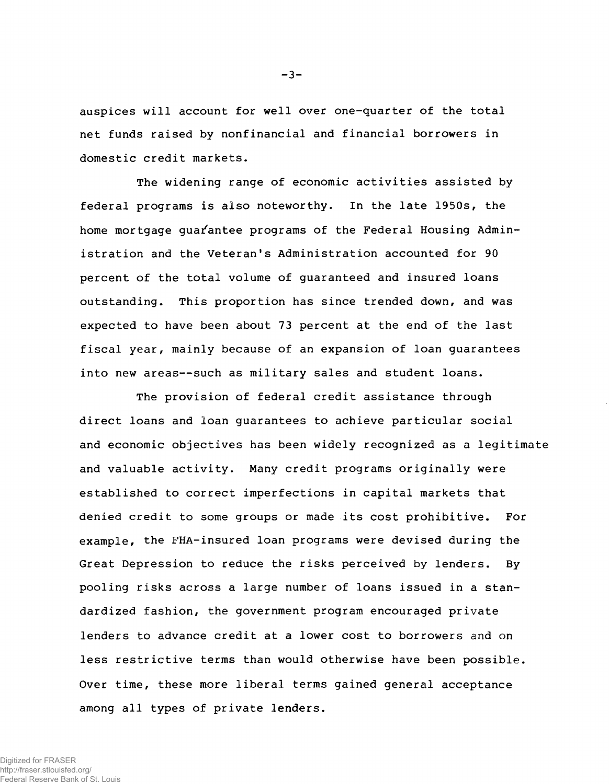auspices will account for well over one-quarter of the total net funds raised by nonfinancial and financial borrowers in domestic credit markets.

The widening range of economic activities assisted by federal programs is also noteworthy. In the late 1950s, the home mortgage guarantee programs of the Federal Housing Administration and the Veteran's Administration accounted for 90 percent of the total volume of guaranteed and insured loans outstanding. This proportion has since trended down, and was expected to have been about 73 percent at the end of the last fiscal year, mainly because of an expansion of loan guarantees into new areas--such as military sales and student loans.

The provision of federal credit assistance through direct loans and loan quarantees to achieve particular social and economic objectives has been widely recognized as a legitimate and valuable activity. Many credit programs originally were established to correct imperfections in capital markets that denied credit to some groups or made its cost prohibitive. For example, the FHA-insured loan programs were devised during the Great Depression to reduce the risks perceived by lenders. By pooling risks across a large number of loans issued in a standardized fashion, the government program encouraged private lenders to advance credit at a lower cost to borrowers and on less restrictive terms than would otherwise have been possible. Over time, these more liberal terms gained general acceptance among all types of private lenders.

Digitized for FRASER http://fraser.stlouisfed.org/ Federal Reserve Bank of St. Louis **- 3 -**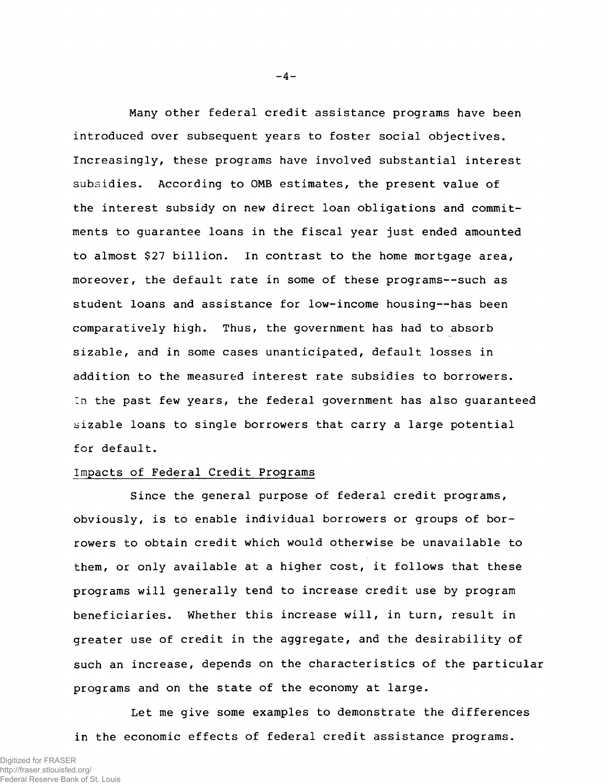Many other federal credit assistance programs have been introduced over subsequent years to foster social objectives. Increasingly, these programs have involved substantial interest subsidies. According to OMB estimates, the present value of the interest subsidy on new direct loan obligations and commitments to guarantee loans in the fiscal year just ended amounted to almost \$27 billion. In contrast to the home mortgage area, moreover, the default rate in some of these programs--such as student loans and assistance for low-income housing--has been comparatively high. Thus, the government has had to absorb sizable, and in some cases unanticipated, default losses in addition to the measured interest rate subsidies to borrowers. In the past few years, the federal government has also quaranteed sizable loans to single borrowers that carry a large potential for default.

## Impacts of Federal Credit Programs

Since the general purpose of federal credit programs, obviously, is to enable individual borrowers or groups of borrowers to obtain credit which would otherwise be unavailable to them, or only available at a higher cost, it follows that these programs will generally tend to increase credit use by program beneficiaries. Whether this increase will, in turn, result in greater use of credit in the aggregate, and the desirability of such an increase, depends on the characteristics of the particular programs and on the state of the economy at large.

Let me give some examples to demonstrate the differences in the economic effects of federal credit assistance programs.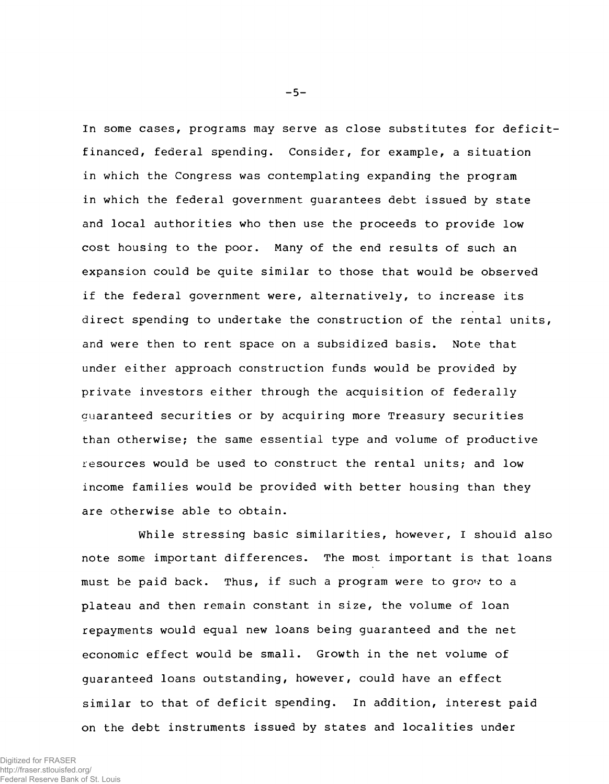In some cases, programs may serve as close substitutes for deficitfinanced, federal spending. Consider, for example, a situation in which the Congress was contemplating expanding the program in which the federal government guarantees debt issued by state and local authorities who then use the proceeds to provide low cost housing to the poor. Many of the end results of such an expansion could be quite similar to those that would be observed if the federal government were, alternatively, to increase its direct spending to undertake the construction of the rental units, and were then to rent space on a subsidized basis. Note that under either approach construction funds would be provided by private investors either through the acquisition of federally quaranteed securities or by acquiring more Treasury securities than otherwise; the same essential type and volume of productive resources would be used to construct the rental units; and low income families would be provided with better housing than they are otherwise able to obtain.

While stressing basic similarities, however, I should also note some important differences. The most important is that loans must be paid back. Thus, if such a program were to grow to a plateau and then remain constant in size, the volume of loan repayments would equal new loans being guaranteed and the net economic effect would be small. Growth in the net volume of quaranteed loans outstanding, however, could have an effect similar to that of deficit spending. In addition, interest paid on the debt instruments issued by states and localities under

**- 5 -**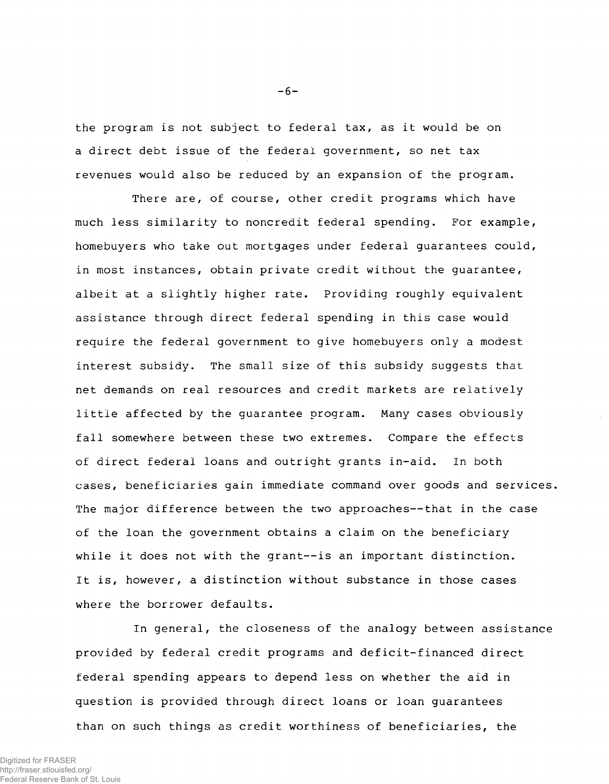the program is not subject to federal tax, as it would be on a direct debt issue of the federal government, so net tax revenues would also be reduced by an expansion of the program.

There are, of course, other credit programs which have much less similarity to noncredit federal spending. For example, homebuyers who take out mortgages under federal guarantees could, in most instances, obtain private credit without the guarantee, albeit at a slightly higher rate. Providing roughly equivalent assistance through direct federal spending in this case would require the federal government to give homebuyers only a modest interest subsidy. The small size of this subsidy suggests that net demands on real resources and credit markets are relatively little affected by the guarantee program. Many cases obviously fall somewhere between these two extremes. Compare the effects of direct federal loans and outright grants in-aid. In both cases, beneficiaries qain immediate command over goods and services. The major difference between the two approaches--that in the case of the loan the government obtains a claim on the beneficiary while it does not with the grant--is an important distinction. It is, however, a distinction without substance in those cases where the borrower defaults.

In general, the closeness of the analogy between assistance provided by federal credit programs and deficit-financed direct federal spending appears to depend less on whether the aid in question is provided through direct loans or loan guarantees than on such things as credit worthiness of beneficiaries, the

**- 6 -**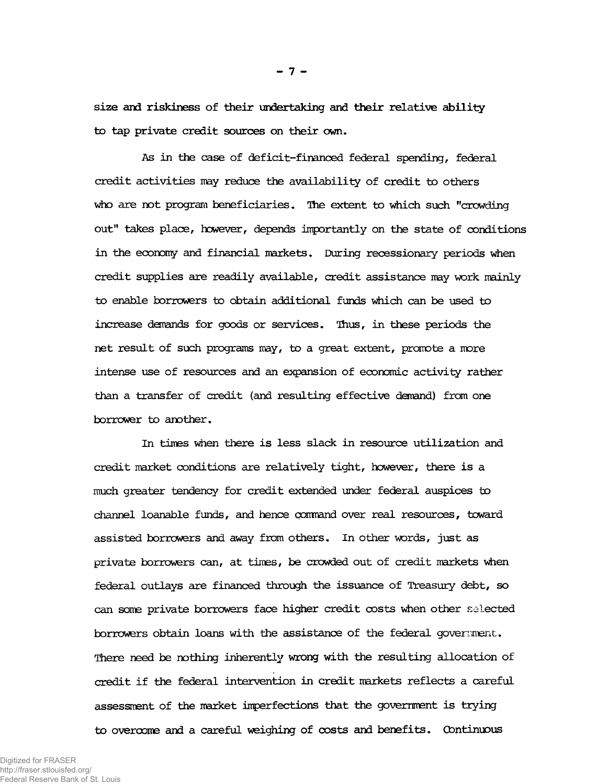size and riskiness of their undertaking and their relative ability to tap private credit sources on their own.

As in the case of deficit-financed federal spending, federal credit activities may reduce the availability of credit to others who are not program beneficiaries. The extent to which such "crowding out" takes place, however, depends importantly on the state of conditions in the economy and financial markets. During recessionary periods when credit supplies are readily available, credit assistance may work mainly to enable borrowers to obtain additional funds which can be used to increase demands for goods or services. Thus, in these periods the net result of such programs may, to a great extent, promote a more intense use of resources and an expansion of economic activity rather than a transfer of credit (and resulting effective demand) from one borrower to another.

In times when there is less slack in resource utilization and credit market conditions are relatively tight, however, there is a much greater tendency for credit extended under federal auspices to channel loanable funds, and hence command over real resources, toward assisted borrowers and away from others. In other words, just as private borrowers can, at times, be crowded out of credit markets when federal outlays are financed through the issuance of Treasury debt, so can some private borrowers face higher credit costs when other selected borrowers obtain loans with the assistance of the federal government. There need be nothing inherently wrong with the resulting allocation of credit if the federal intervention in credit markets reflects a careful assessment of the market imperfections that the government is trying to overcome and a careful weighing of costs and benefits. Continuous

- 7 -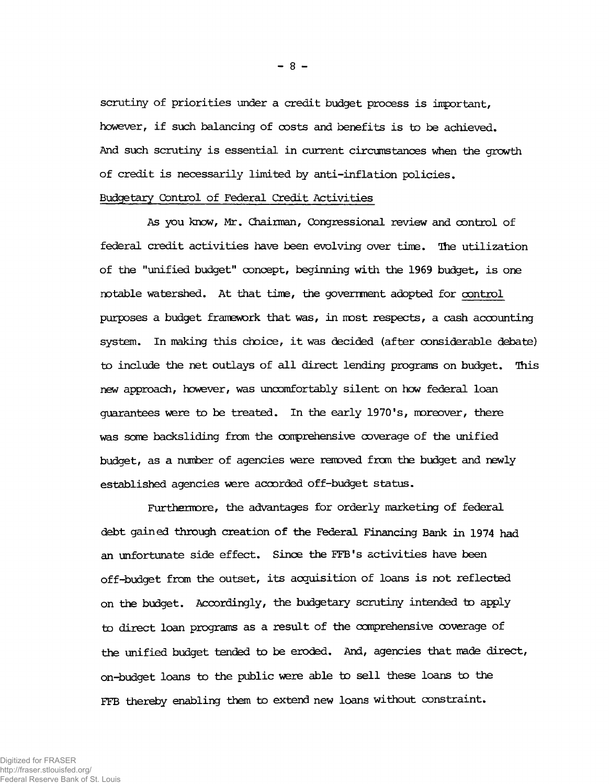scrutiny of priorities under a credit budget process is important, however, if such balancing of costs and benefits is to be achieved. And such scrutiny is essential in current circumstances when the growth of credit is necessarily limited by anti-inflation policies.

## Budgetary Control of Federal Credit Activities

As you know, Mr. Chairman, Congressional review and control of federal credit activities have been evolving over time. The utilization of the "unified budget" concept, beginning with the 1969 budget, is one notable watershed. At that time, the government adopted for control purposes a budget framework that was, in most respects, a cash accounting system. In making this choice, it was decided (after considerable debate) to include the net outlays of all direct lending programs on budget. This new approach, however, was uncomfortably silent on how federal loan guarantees were to be treated. In the early 1970's, moreover, there was some backsliding from the comprehensive coverage of the unified budget, as a number of agencies were removed from the budget and newly established agencies were accorded off-budget status.

Furthermore, the advantages for orderly marketing of federal debt gained through creation of the Federal Financing Bank in 1974 had an unfortunate side effect. Since the FFB's activities have been off-budget from the outset, its acquisition of loans is not reflected on the budget. Accordingly, the budgetary scrutiny intended to apply to direct loan programs as a result of the comprehensive coverage of the unified budget tended to be eroded. And, agencies that made direct, on-budget loans to the public were able to sell these loans to the FFB thereby enabling them to extend new loans without constraint.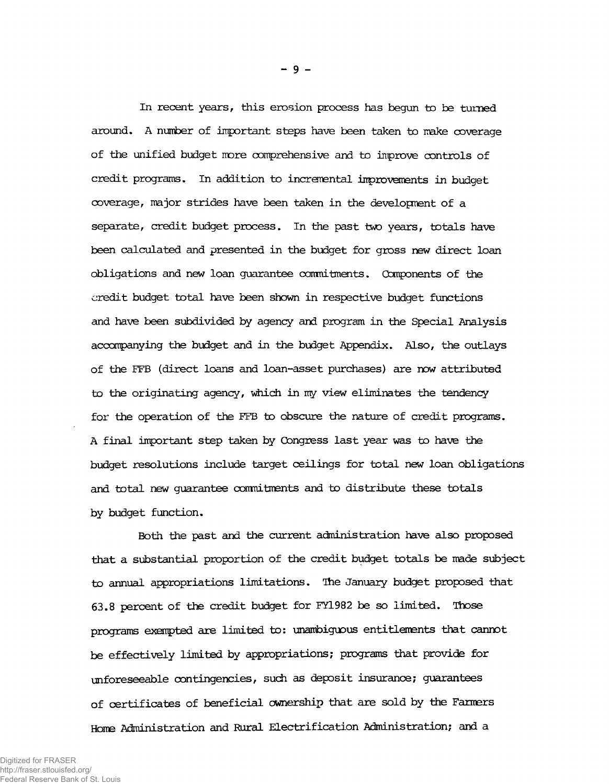In recent years, this erosion process has begun to be turned around. A number of important steps have been taken to make coverage of the unified budget more comprehensive and to improve controls of credit programs. In addition to incremental improvements in budget coverage, major strides have been taken in the development of a separate, credit budget process. In the past two years, totals have been calculated and presented in the budget for gross new direct loan obligations and new loan guarantee canmitments. Components of the credit budget total have been shown in respective budget functions and have been subdivided by agency and program in the Special Analysis accompanying the budget and in the budget Appendix. Also, the outlays of the FFB (direct loans and loan-asset purchases) are now attributed to the originating agency, which in my view eliminates the tendency for the operation of the FFB to obscure the nature of credit programs. A final important step taken by Congress last year was to have the budget resolutions include target ceilings for total new loan obligations and total new guarantee canmitments and to distribute these totals by budget function.

Both the past and the current administration have also proposed that a substantial proportion of the credit budget totals be made subject to annual appropriations limitations. The January budget proposed that 63.8 percent of the credit budget for FY1982 be so limited. Those programs exempted are limited to: unambiguous entitlements that cannot be effectively limited by appropriations; programs that provide for unforeseeable contingencies, such as deposit insurance; guarantees of certificates of beneficial ownership that are sold by the Farmers Home Administration and Rural Electrification Administration; and a

**- 9 -**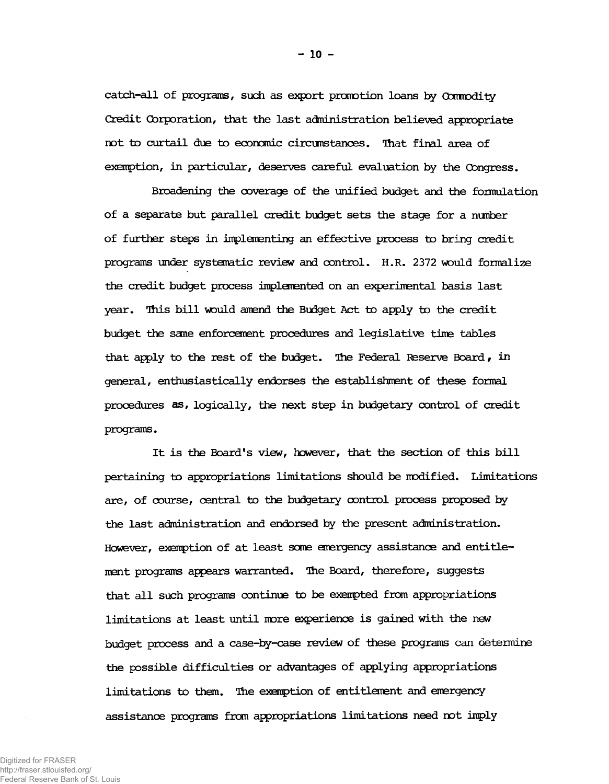catch-all of programs, such as export promotion loans by Commodity Credit Corporation, that the last adninistration believed appropriate not to curtail due to economic circunstanoes. That final area of exemption, in particular, deserves careful evaluation by the Congress.

Broadening the coverage of the unified budget and the formulation of a separate but parallel credit budget sets the stage for a number of further steps in implementing an effective process to bring credit programs under systematic review and control. H.R. 2372 would formalize the credit budget process implemented on an experimental basis last year. This bill would amend the Budget Act to apply to the credit budget the same enforcement procedures and legislative time tables that apply to the rest of the budget. The Federal Reserve Board, in general, enthusiastically endorses the establishment of these formal procedures as, logically, the next step in budgetary control of credit programs.

It is the Board's view, however, that the section of this bill pertaining to appropriations limitations should be modified. Limitations are, of course, central to the budgetary control process proposed by the last administration and endorsed by the present administration. However, exemption of at least some emergency assistance and entitlement programs appears warranted. The Board, therefore, suggests that all such programs continue to be exempted from appropriations limitations at least until more experience is gained with the new budget process and a case-by-case review of these programs can determine the possible difficulties or advantages of applying appropriations limitations to them. The exemption of entitlement and emergency assistance programs from appropriations limitations need not imply

Federal Reserve Bank of St. Louis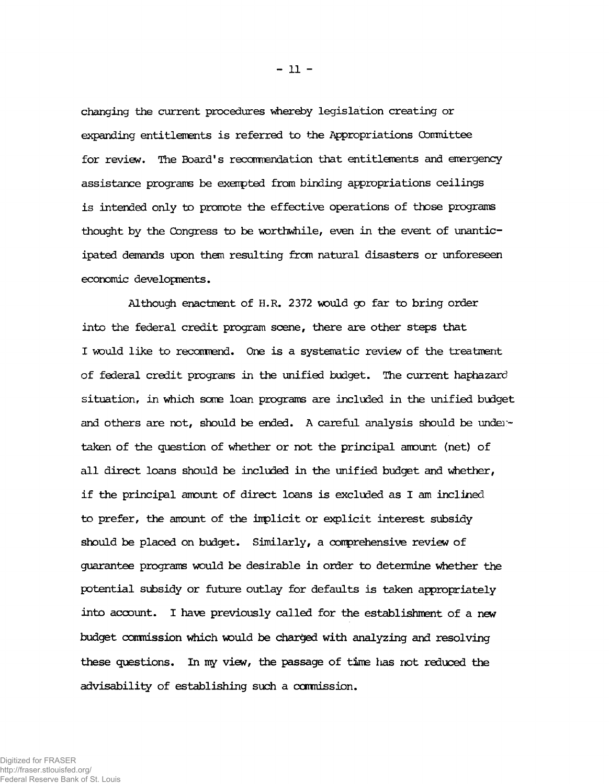changing the current procedures whereby legislation creating or expanding entitlements is referred to the Appropriations Committee for review. The Board's recommendation that entitlements and emergency assistance programs be exempted from binding appropriations ceilings is intended only to promote the effective operations of those programs thought by the Congress to be worthwhile, even in the event of unanticipated demands upon then resulting from natural disasters or unforeseen economic developments.

Although enactment of H.R. 2372 would go far to bring order into the federal credit program scene, there are other steps that I would like to recommend. One is a systematic review of the treatment of federal credit programs in the unified budget. The current haphazard situation, in which some loan programs are included in the unified budget and others are not, should be ended. A careful analysis should be undertaken of the question of whether or not the principal amount (net) of all direct loans should be included in the unified budget and whether, if the principal amount of direct loans is excluded as I am inclined to prefer, the amount of the implicit or explicit interest subsidy should be placed on budget. Similarly, a conprehensive review of guarantee programs would be desirable in order to determine whether the potential subsidy or future outlay for defaults is taken appropriately into account. I have previously called for the establishment of a new budget conrnission which would be charged with analyzing and resolving these questions. In my view, the passage of time has not reduced the advisability of establishing such a commission.